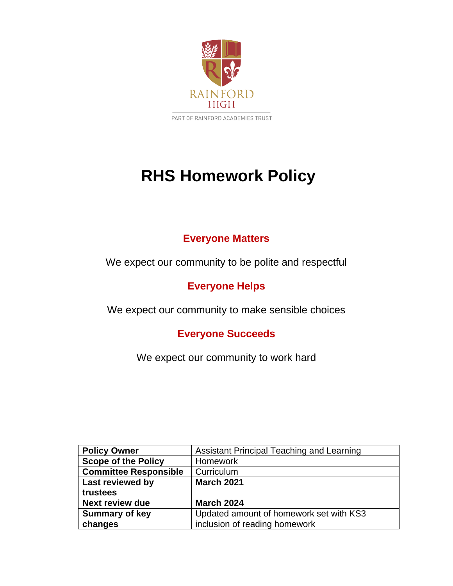

# **RHS Homework Policy**

# **Everyone Matters**

We expect our community to be polite and respectful

# **Everyone Helps**

We expect our community to make sensible choices

## **Everyone Succeeds**

We expect our community to work hard

| <b>Policy Owner</b>          | Assistant Principal Teaching and Learning |
|------------------------------|-------------------------------------------|
| <b>Scope of the Policy</b>   | <b>Homework</b>                           |
| <b>Committee Responsible</b> | Curriculum                                |
| Last reviewed by             | <b>March 2021</b>                         |
| trustees                     |                                           |
| <b>Next review due</b>       | <b>March 2024</b>                         |
| <b>Summary of key</b>        | Updated amount of homework set with KS3   |
| changes                      | inclusion of reading homework             |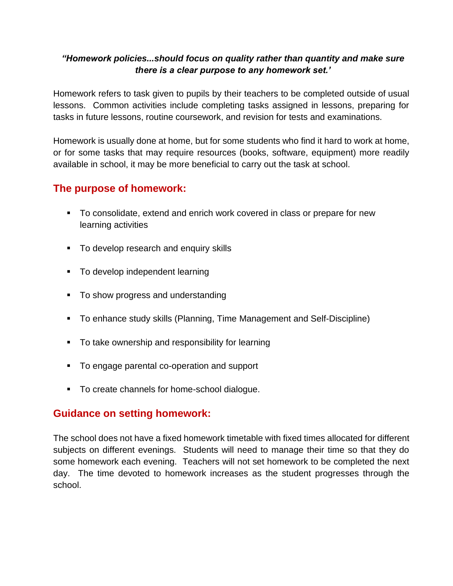#### *"Homework policies...should focus on quality rather than quantity and make sure there is a clear purpose to any homework set.'*

Homework refers to task given to pupils by their teachers to be completed outside of usual lessons. Common activities include completing tasks assigned in lessons, preparing for tasks in future lessons, routine coursework, and revision for tests and examinations.

Homework is usually done at home, but for some students who find it hard to work at home, or for some tasks that may require resources (books, software, equipment) more readily available in school, it may be more beneficial to carry out the task at school.

## **The purpose of homework:**

- To consolidate, extend and enrich work covered in class or prepare for new learning activities
- To develop research and enquiry skills
- To develop independent learning
- To show progress and understanding
- To enhance study skills (Planning, Time Management and Self-Discipline)
- To take ownership and responsibility for learning
- To engage parental co-operation and support
- To create channels for home-school dialogue.

## **Guidance on setting homework:**

The school does not have a fixed homework timetable with fixed times allocated for different subjects on different evenings. Students will need to manage their time so that they do some homework each evening. Teachers will not set homework to be completed the next day. The time devoted to homework increases as the student progresses through the school.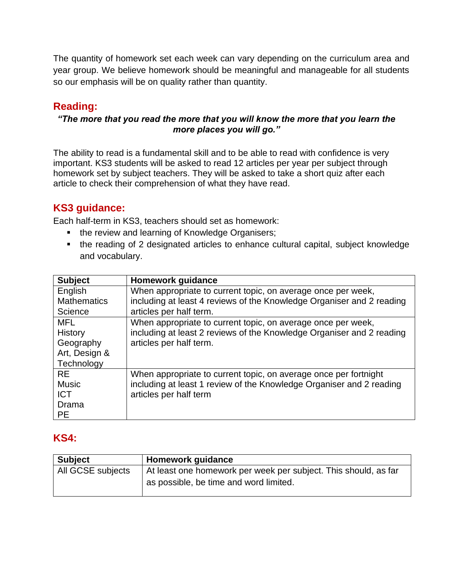The quantity of homework set each week can vary depending on the curriculum area and year group. We believe homework should be meaningful and manageable for all students so our emphasis will be on quality rather than quantity.

## **Reading:**

#### *"The more that you read the more that you will know the more that you learn the more places you will go."*

The ability to read is a fundamental skill and to be able to read with confidence is very important. KS3 students will be asked to read 12 articles per year per subject through homework set by subject teachers. They will be asked to take a short quiz after each article to check their comprehension of what they have read.

## **KS3 guidance:**

Each half-term in KS3, teachers should set as homework:

- the review and learning of Knowledge Organisers;
- the reading of 2 designated articles to enhance cultural capital, subject knowledge and vocabulary.

| <b>Subject</b>     | <b>Homework guidance</b>                                              |
|--------------------|-----------------------------------------------------------------------|
| English            | When appropriate to current topic, on average once per week,          |
| <b>Mathematics</b> | including at least 4 reviews of the Knowledge Organiser and 2 reading |
| Science            | articles per half term.                                               |
| <b>MFL</b>         | When appropriate to current topic, on average once per week,          |
| <b>History</b>     | including at least 2 reviews of the Knowledge Organiser and 2 reading |
| Geography          | articles per half term.                                               |
| Art, Design &      |                                                                       |
| Technology         |                                                                       |
| <b>RE</b>          | When appropriate to current topic, on average once per fortnight      |
| <b>Music</b>       | including at least 1 review of the Knowledge Organiser and 2 reading  |
| <b>ICT</b>         | articles per half term                                                |
| Drama              |                                                                       |
| <b>PE</b>          |                                                                       |

## **KS4:**

| <b>Subject</b>    | <b>Homework guidance</b>                                                                                  |
|-------------------|-----------------------------------------------------------------------------------------------------------|
| All GCSE subjects | At least one homework per week per subject. This should, as far<br>as possible, be time and word limited. |
|                   |                                                                                                           |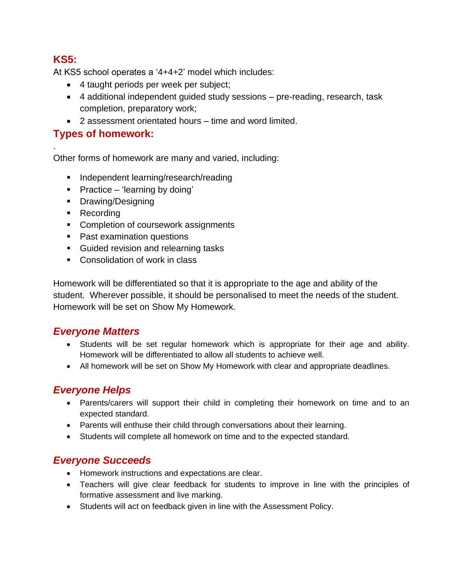## **KS5:**

.

At KS5 school operates a '4+4+2' model which includes:

- 4 taught periods per week per subject;
- 4 additional independent guided study sessions pre-reading, research, task completion, preparatory work;
- 2 assessment orientated hours time and word limited.

## **Types of homework:**

Other forms of homework are many and varied, including:

- Independent learning/research/reading
- Practice 'learning by doing'
- Drawing/Designing
- Recording
- Completion of coursework assignments
- Past examination questions
- Guided revision and relearning tasks
- Consolidation of work in class

Homework will be differentiated so that it is appropriate to the age and ability of the student. Wherever possible, it should be personalised to meet the needs of the student. Homework will be set on Show My Homework.

## *Everyone Matters*

- Students will be set regular homework which is appropriate for their age and ability. Homework will be differentiated to allow all students to achieve well.
- All homework will be set on Show My Homework with clear and appropriate deadlines.

## *Everyone Helps*

- Parents/carers will support their child in completing their homework on time and to an expected standard.
- Parents will enthuse their child through conversations about their learning.
- Students will complete all homework on time and to the expected standard.

## *Everyone Succeeds*

- Homework instructions and expectations are clear.
- Teachers will give clear feedback for students to improve in line with the principles of formative assessment and live marking.
- Students will act on feedback given in line with the Assessment Policy.